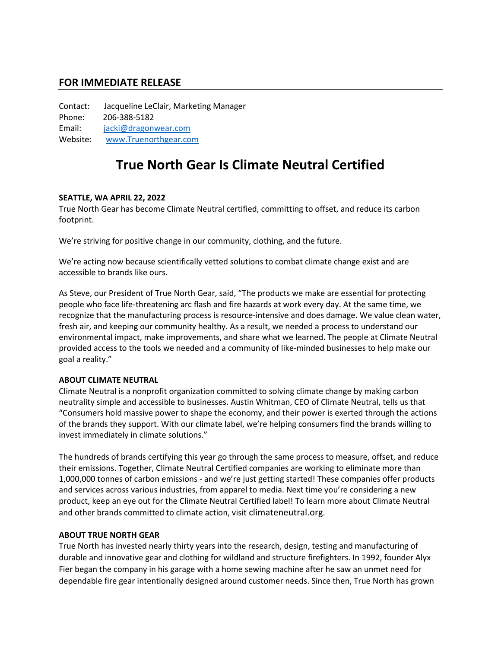## **FOR IMMEDIATE RELEASE**

Contact: Jacqueline LeClair, Marketing Manager Phone: 206-388-5182 Email: [jacki@dragonwear.com](mailto:jacki@dragonwear.com) Website: [www.Truenorthgear.com](http://www.truenorthgear.com/)

# **True North Gear Is Climate Neutral Certified**

### **SEATTLE, WA APRIL 22, 2022**

True North Gear has become Climate Neutral certified, committing to offset, and reduce its carbon footprint.

We're striving for positive change in our community, clothing, and the future.

We're acting now because scientifically vetted solutions to combat climate change exist and are accessible to brands like ours.

As Steve, our President of True North Gear, said, "The products we make are essential for protecting people who face life-threatening arc flash and fire hazards at work every day. At the same time, we recognize that the manufacturing process is resource-intensive and does damage. We value clean water, fresh air, and keeping our community healthy. As a result, we needed a process to understand our environmental impact, make improvements, and share what we learned. The people at Climate Neutral provided access to the tools we needed and a community of like-minded businesses to help make our goal a reality."

#### **ABOUT CLIMATE NEUTRAL**

Climate Neutral is a nonprofit organization committed to solving climate change by making carbon neutrality simple and accessible to businesses. Austin Whitman, CEO of Climate Neutral, tells us that "Consumers hold massive power to shape the economy, and their power is exerted through the actions of the brands they support. With our climate label, we're helping consumers find the brands willing to invest immediately in climate solutions."

The hundreds of brands certifying this year go through the same process to measure, offset, and reduce their emissions. Together, Climate Neutral Certified companies are working to eliminate more than 1,000,000 tonnes of carbon emissions - and we're just getting started! These companies offer products and services across various industries, from apparel to media. Next time you're considering a new product, keep an eye out for the Climate Neutral Certified label! To learn more about Climate Neutral and other brands committed to climate action, visit [climateneutral.org.](http://www.climateneutral.org/)

#### **ABOUT TRUE NORTH GEAR**

True North has invested nearly thirty years into the research, design, testing and manufacturing of durable and innovative gear and clothing for wildland and structure firefighters. In 1992, founder Alyx Fier began the company in his garage with a home sewing machine after he saw an unmet need for dependable fire gear intentionally designed around customer needs. Since then, True North has grown